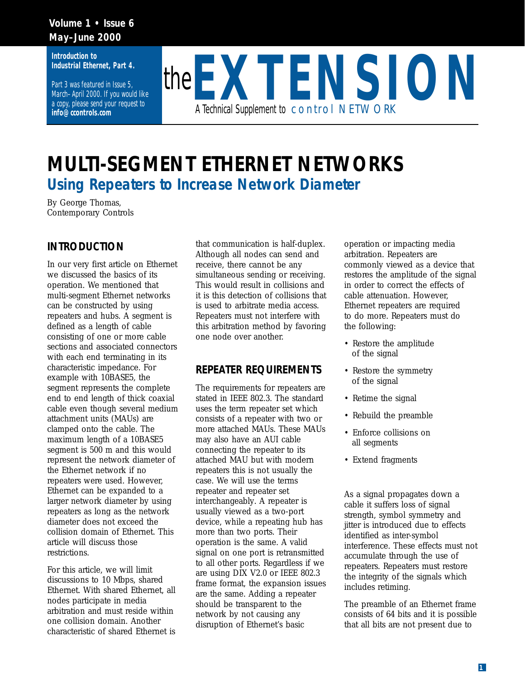## **Volume 1 • Issue 6 May–June 2000**

**Introduction to Industrial Ethernet, Part 4.** 

Part 3 was featured in Issue 5, March–April 2000. If you would like a copy, please send your request to **info@ccontrols.com**



# **MULTI-SEGMENT ETHERNET NETWORKS** *Using Repeaters to Increase Network Diameter*

By George Thomas, Contemporary Controls

## **INTRODUCTION**

In our very first article on Ethernet we discussed the basics of its operation. We mentioned that multi-segment Ethernet networks can be constructed by using repeaters and hubs. A segment is defined as a length of cable consisting of one or more cable sections and associated connectors with each end terminating in its characteristic impedance. For example with 10BASE5, the segment represents the complete end to end length of thick coaxial cable even though several medium attachment units (MAUs) are clamped onto the cable. The maximum length of a 10BASE5 segment is 500 m and this would represent the network diameter of the Ethernet network if no repeaters were used. However, Ethernet can be expanded to a larger network diameter by using repeaters as long as the network diameter does not exceed the collision domain of Ethernet. This article will discuss those restrictions.

For this article, we will limit discussions to 10 Mbps, shared Ethernet. With shared Ethernet, all nodes participate in media arbitration and must reside within one collision domain. Another characteristic of shared Ethernet is

that communication is half-duplex. Although all nodes can send and receive, there cannot be any simultaneous sending or receiving. This would result in collisions and it is this detection of collisions that is used to arbitrate media access. Repeaters must not interfere with this arbitration method by favoring one node over another.

## **REPEATER REQUIREMENTS**

The requirements for repeaters are stated in IEEE 802.3. The standard uses the term repeater set which consists of a repeater with two or more attached MAUs. These MAUs may also have an AUI cable connecting the repeater to its attached MAU but with modern repeaters this is not usually the case. We will use the terms repeater and repeater set interchangeably. A repeater is usually viewed as a two-port device, while a repeating hub has more than two ports. Their operation is the same. A valid signal on one port is retransmitted to all other ports. Regardless if we are using DIX V2.0 or IEEE 802.3 frame format, the expansion issues are the same. Adding a repeater should be transparent to the network by not causing any disruption of Ethernet's basic

operation or impacting media arbitration. Repeaters are commonly viewed as a device that restores the amplitude of the signal in order to correct the effects of cable attenuation. However, Ethernet repeaters are required to do more. Repeaters must do the following:

- Restore the amplitude of the signal
- Restore the symmetry of the signal
- Retime the signal
- Rebuild the preamble
- Enforce collisions on all segments
- Extend fragments

As a signal propagates down a cable it suffers loss of signal strength, symbol symmetry and jitter is introduced due to effects identified as inter-symbol interference. These effects must not accumulate through the use of repeaters. Repeaters must restore the integrity of the signals which includes retiming.

The preamble of an Ethernet frame consists of 64 bits and it is possible that all bits are not present due to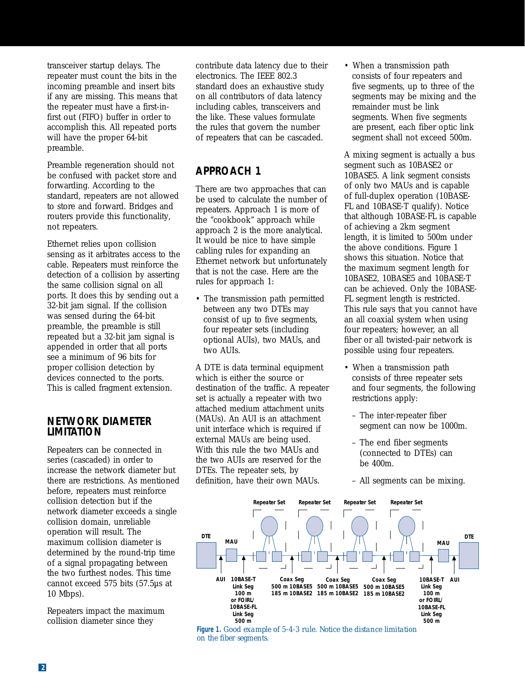transceiver startup delays. The repeater must count the bits in the incoming preamble and insert bits if any are missing. This means that the repeater must have a first-infirst out (FIFO) buffer in order to accomplish this. All repeated ports will have the proper 64-bit preamble.

Preamble regeneration should not be confused with packet store and forwarding. According to the standard, repeaters are not allowed to store and forward. Bridges and routers provide this functionality, not repeaters.

Ethernet relies upon collision sensing as it arbitrates access to the cable. Repeaters must reinforce the detection of a collision by asserting the same collision signal on all ports. It does this by sending out a 32-bit jam signal. If the collision was sensed during the 64-bit preamble, the preamble is still repeated but a 32-bit jam signal is appended in order that all ports see a minimum of 96 bits for proper collision detection by devices connected to the ports. This is called fragment extension.

### **NETWORK DIAMETER LIMITATION**

Repeaters can be connected in series (cascaded) in order to increase the network diameter but there are restrictions. As mentioned before, repeaters must reinforce collision detection but if the network diameter exceeds a single collision domain, unreliable operation will result. The maximum collision diameter is determined by the round-trip time of a signal propagating between the two furthest nodes. This time cannot exceed 575 bits (57.5µs at 10 Mbps).

Repeaters impact the maximum collision diameter since they

contribute data latency due to their electronics. The IEEE 802.3 standard does an exhaustive study on all contributors of data latency including cables, transceivers and the like. These values formulate the rules that govern the number of repeaters that can be cascaded.

# **APPROACH 1**

There are two approaches that can be used to calculate the number of repeaters. Approach 1 is more of the "cookbook" approach while approach 2 is the more analytical. It would be nice to have simple cabling rules for expanding an Ethernet network but unfortunately that is not the case. Here are the rules for approach 1:

• The transmission path permitted between any two DTEs may consist of up to five segments, four repeater sets (including optional AUIs), two MAUs, and two AUIs.

A DTE is data terminal equipment which is either the source or destination of the traffic. A repeater set is actually a repeater with two attached medium attachment units (MAUs). An AUI is an attachment unit interface which is required if external MAUs are being used. With this rule the two MAUs and the two AUIs are reserved for the DTEs. The repeater sets, by definition, have their own MAUs.

• When a transmission path consists of four repeaters and five segments, up to three of the segments may be mixing and the remainder must be link segments. When five segments are present, each fiber optic link segment shall not exceed 500m.

A mixing segment is actually a bus segment such as 10BASE2 or 10BASE5. A link segment consists of only two MAUs and is capable of full-duplex operation (10BASE-FL and 10BASE-T qualify). Notice that although 10BASE-FL is capable of achieving a 2km segment length, it is limited to 500m under the above conditions. Figure 1 shows this situation. Notice that the maximum segment length for 10BASE2, 10BASE5 and 10BASE-T can be achieved. Only the 10BASE-FL segment length is restricted. This rule says that you cannot have an all coaxial system when using four repeaters; however, an all fiber or all twisted-pair network is possible using four repeaters.

- When a transmission path consists of three repeater sets and four segments, the following restrictions apply:
	- The inter-repeater fiber segment can now be 1000m.
	- The end fiber segments (connected to DTEs) can be 400m.
	- All segments can be mixing.



**Figure 1.** *Good example of 5-4-3 rule. Notice the distance limitation on the fiber segments.*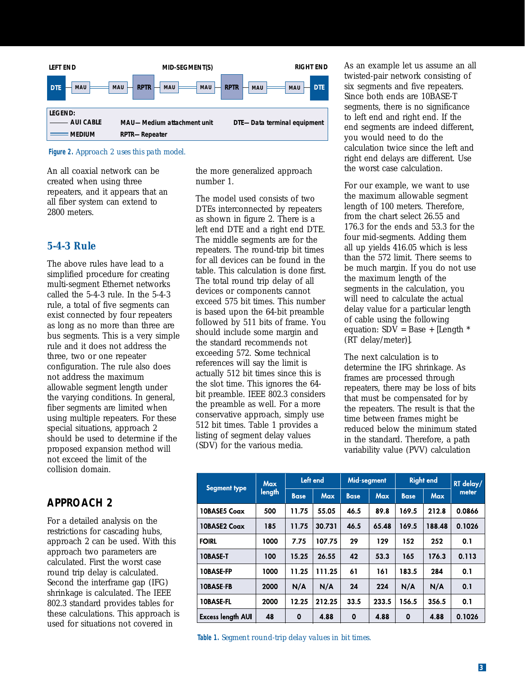

**Figure 2.** *Approach 2 uses this path model.*

An all coaxial network can be created when using three repeaters, and it appears that an all fiber system can extend to 2800 meters.

## *5-4-3 Rule*

The above rules have lead to a simplified procedure for creating multi-segment Ethernet networks called the 5-4-3 rule. In the 5-4-3 rule, a total of five segments can exist connected by four repeaters as long as no more than three are bus segments. This is a very simple rule and it does not address the three, two or one repeater configuration. The rule also does not address the maximum allowable segment length under the varying conditions. In general, fiber segments are limited when using multiple repeaters. For these special situations, approach 2 should be used to determine if the proposed expansion method will not exceed the limit of the collision domain.

## **APPROACH 2**

For a detailed analysis on the restrictions for cascading hubs, approach 2 can be used. With this approach two parameters are calculated. First the worst case round trip delay is calculated. Second the interframe gap (IFG) shrinkage is calculated. The IEEE 802.3 standard provides tables for these calculations. This approach is used for situations not covered in

the more generalized approach number 1.

The model used consists of two DTEs interconnected by repeaters as shown in figure 2. There is a left end DTE and a right end DTE. The middle segments are for the repeaters. The round-trip bit times for all devices can be found in the table. This calculation is done first. The total round trip delay of all devices or components cannot exceed 575 bit times. This number is based upon the 64-bit preamble followed by 511 bits of frame. You should include some margin and the standard recommends not exceeding 572. Some technical references will say the limit is actually 512 bit times since this is the slot time. This ignores the 64 bit preamble. IEEE 802.3 considers the preamble as well. For a more conservative approach, simply use 512 bit times. Table 1 provides a listing of segment delay values (SDV) for the various media.

As an example let us assume an all twisted-pair network consisting of six segments and five repeaters. Since both ends are 10BASE-T segments, there is no significance to left end and right end. If the end segments are indeed different, you would need to do the calculation twice since the left and right end delays are different. Use the worst case calculation.

For our example, we want to use the maximum allowable segment length of 100 meters. Therefore, from the chart select 26.55 and 176.3 for the ends and 53.3 for the four mid-segments. Adding them all up yields 416.05 which is less than the 572 limit. There seems to be much margin. If you do not use the maximum length of the segments in the calculation, you will need to calculate the actual delay value for a particular length of cable using the following equation:  $SDV = Base + [Length *$ (RT delay/meter)].

The next calculation is to determine the IFG shrinkage. As frames are processed through repeaters, there may be loss of bits that must be compensated for by the repeaters. The result is that the time between frames might be reduced below the minimum stated in the standard. Therefore, a path variability value (PVV) calculation

| <b>Segment type</b>      | <b>Max</b><br>length | Left end    |            | Mid-segment |            | <b>Right end</b> |            | RT delay/ |
|--------------------------|----------------------|-------------|------------|-------------|------------|------------------|------------|-----------|
|                          |                      | <b>Base</b> | <b>Max</b> | <b>Base</b> | <b>Max</b> | <b>Base</b>      | <b>Max</b> | meter     |
| 10BASE5 Coax             | 500                  | 11.75       | 55.05      | 46.5        | 89.8       | 169.5            | 212.8      | 0.0866    |
| 10BASE2 Coax             | 185                  | 11.75       | 30.731     | 46.5        | 65.48      | 169.5            | 188.48     | 0.1026    |
| <b>FOIRL</b>             | 1000                 | 7.75        | 107.75     | 29          | 129        | 152              | 252        | 0.1       |
| <b>10BASE-T</b>          | 100                  | 15.25       | 26.55      | 42          | 53.3       | 165              | 176.3      | 0.113     |
| <b>10BASE-FP</b>         | 1000                 | 11.25       | 111.25     | 61          | 161        | 183.5            | 284        | 0.1       |
| <b>10BASE-FB</b>         | 2000                 | N/A         | N/A        | 24          | 224        | N/A              | N/A        | 0.1       |
| <b>10BASE-FL</b>         | 2000                 | 12.25       | 212.25     | 33.5        | 233.5      | 156.5            | 356.5      | 0.1       |
| <b>Excess length AUI</b> | 48                   | 0           | 4.88       | $\mathbf 0$ | 4.88       | $\mathbf 0$      | 4.88       | 0.1026    |

**Table 1.** *Segment round-trip delay values in bit times.*